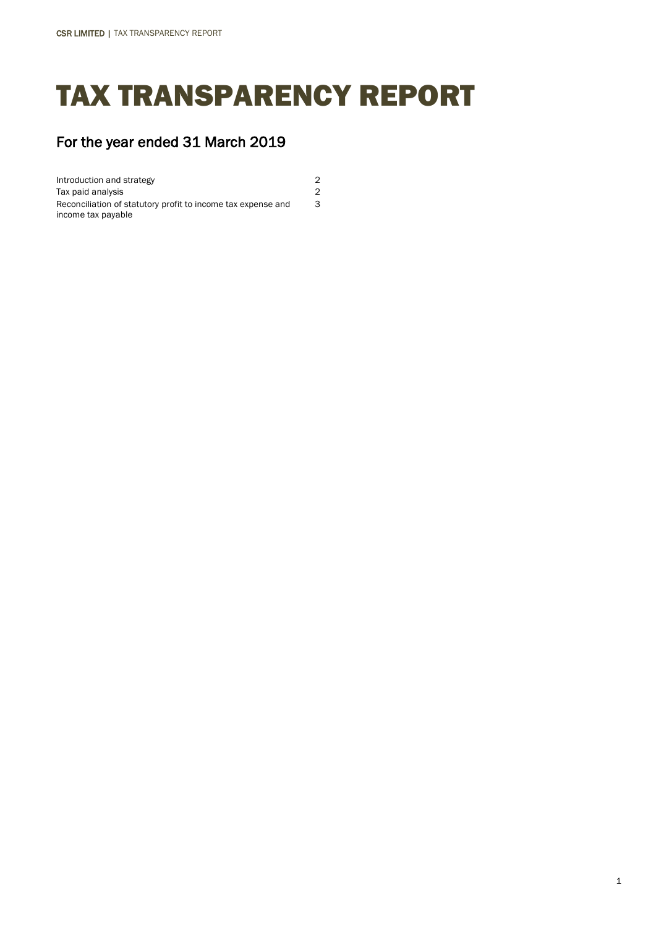# TAX TRANSPARENCY REPORT

3

# For the year ended 31 March 2019

Introduction and strategy 2 Tax paid analysis 2 Reconciliation of statutory profit to income tax expense and income tax payable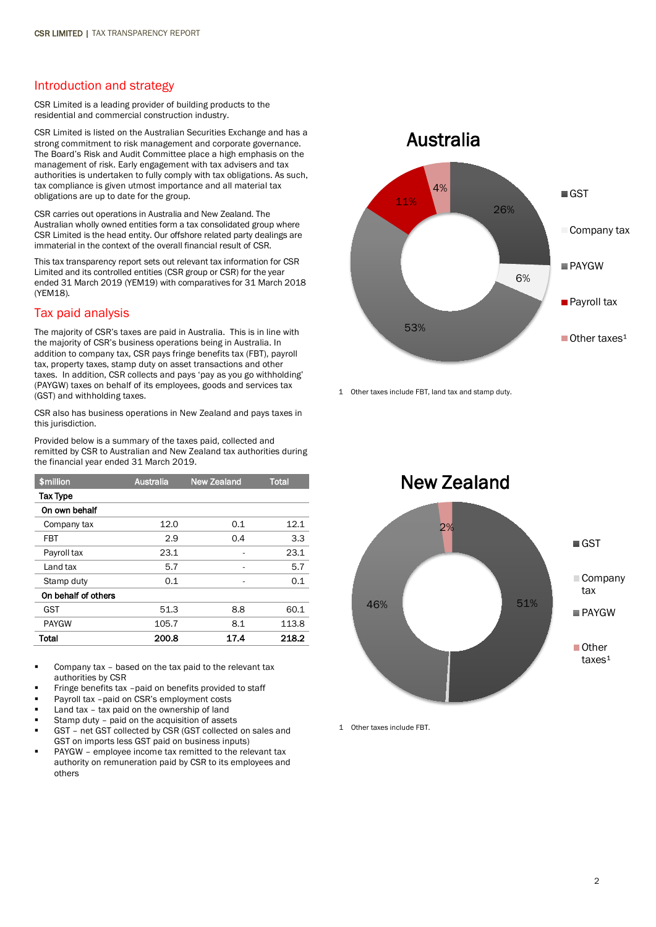#### Introduction and strategy

CSR Limited is a leading provider of building products to the residential and commercial construction industry.

CSR Limited is listed on the Australian Securities Exchange and has a strong commitment to risk management and corporate governance. The Board's Risk and Audit Committee place a high emphasis on the management of risk. Early engagement with tax advisers and tax authorities is undertaken to fully comply with tax obligations. As such, tax compliance is given utmost importance and all material tax obligations are up to date for the group.

CSR carries out operations in Australia and New Zealand. The Australian wholly owned entities form a tax consolidated group where CSR Limited is the head entity. Our offshore related party dealings are immaterial in the context of the overall financial result of CSR.

This tax transparency report sets out relevant tax information for CSR Limited and its controlled entities (CSR group or CSR) for the year ended 31 March 2019 (YEM19) with comparatives for 31 March 2018 (YEM18).

## Tax paid analysis

The majority of CSR's taxes are paid in Australia. This is in line with the majority of CSR's business operations being in Australia. In addition to company tax, CSR pays fringe benefits tax (FBT), payroll tax, property taxes, stamp duty on asset transactions and other taxes. In addition, CSR collects and pays 'pay as you go withholding' (PAYGW) taxes on behalf of its employees, goods and services tax (GST) and withholding taxes.

CSR also has business operations in New Zealand and pays taxes in this jurisdiction.

Provided below is a summary of the taxes paid, collected and remitted by CSR to Australian and New Zealand tax authorities during the financial year ended 31 March 2019.

| \$million           | <b>Australia</b> | <b>New Zealand</b> | <b>Total</b> |
|---------------------|------------------|--------------------|--------------|
| <b>Tax Type</b>     |                  |                    |              |
| On own behalf       |                  |                    |              |
| Company tax         | 12.0             | 0.1                | 12.1         |
| FBT                 | 2.9              | 0.4                | 3.3          |
| Payroll tax         | 23.1             |                    | 23.1         |
| Land tax            | 5.7              |                    | 5.7          |
| Stamp duty          | 0.1              |                    | 0.1          |
| On behalf of others |                  |                    |              |
| <b>GST</b>          | 51.3             | 8.8                | 60.1         |
| <b>PAYGW</b>        | 105.7            | 8.1                | 113.8        |
| Total               | 200.8            | 17.4               | 218.2        |

 Company tax – based on the tax paid to the relevant tax authorities by CSR

- Fringe benefits tax –paid on benefits provided to staff
- Payroll tax –paid on CSR's employment costs
- Land tax tax paid on the ownership of land
- Stamp duty paid on the acquisition of assets
- GST net GST collected by CSR (GST collected on sales and GST on imports less GST paid on business inputs)
- PAYGW employee income tax remitted to the relevant tax authority on remuneration paid by CSR to its employees and others



1 Other taxes include FBT, land tax and stamp duty.



1 Other taxes include FBT.